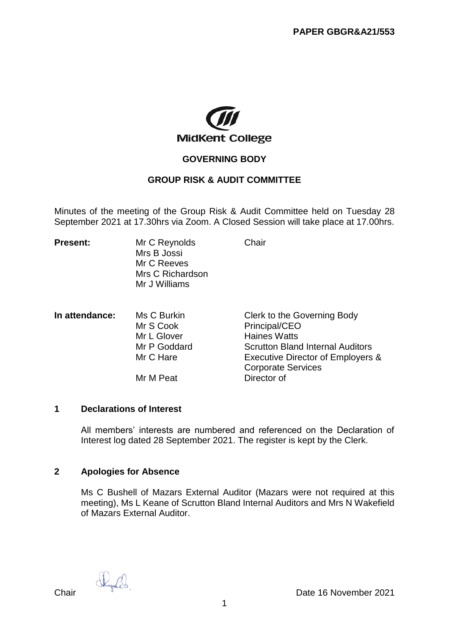

### **GOVERNING BODY**

# **GROUP RISK & AUDIT COMMITTEE**

Minutes of the meeting of the Group Risk & Audit Committee held on Tuesday 28 September 2021 at 17.30hrs via Zoom. A Closed Session will take place at 17.00hrs.

| <b>Present:</b> | Mr C Reynolds    | Chair |  |
|-----------------|------------------|-------|--|
|                 | Mrs B Jossi      |       |  |
|                 | Mr C Reeves      |       |  |
|                 | Mrs C Richardson |       |  |
|                 | Mr J Williams    |       |  |
|                 |                  |       |  |

| In attendance: | Ms C Burkin  | Clerk to the Governing Body             |
|----------------|--------------|-----------------------------------------|
|                | Mr S Cook    | Principal/CEO                           |
|                | Mr L Glover  | <b>Haines Watts</b>                     |
|                | Mr P Goddard | <b>Scrutton Bland Internal Auditors</b> |
|                | Mr C Hare    | Executive Director of Employers &       |
|                |              | <b>Corporate Services</b>               |
|                | Mr M Peat    | Director of                             |

### **1 Declarations of Interest**

All members' interests are numbered and referenced on the Declaration of Interest log dated 28 September 2021. The register is kept by the Clerk.

### **2 Apologies for Absence**

Ms C Bushell of Mazars External Auditor (Mazars were not required at this meeting), Ms L Keane of Scrutton Bland Internal Auditors and Mrs N Wakefield of Mazars External Auditor.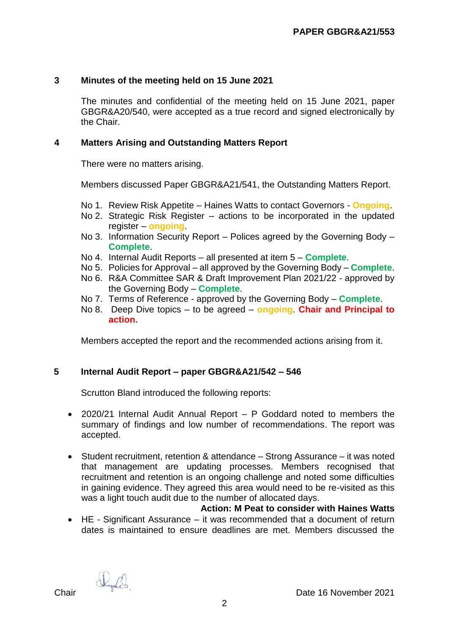## **3 Minutes of the meeting held on 15 June 2021**

The minutes and confidential of the meeting held on 15 June 2021, paper GBGR&A20/540, were accepted as a true record and signed electronically by the Chair.

## **4 Matters Arising and Outstanding Matters Report**

There were no matters arising.

Members discussed Paper GBGR&A21/541, the Outstanding Matters Report.

- No 1. Review Risk Appetite Haines Watts to contact Governors **Ongoing**.
- No 2. Strategic Risk Register actions to be incorporated in the updated register – **ongoing**.
- No 3. Information Security Report Polices agreed by the Governing Body **Complete**.
- No 4. Internal Audit Reports all presented at item 5 **Complete**.
- No 5. Policies for Approval all approved by the Governing Body **Complete**.
- No 6. R&A Committee SAR & Draft Improvement Plan 2021/22 approved by the Governing Body – **Complete**.
- No 7. Terms of Reference approved by the Governing Body **Complete**.
- No 8. Deep Dive topics to be agreed **ongoing**. **Chair and Principal to action.**

Members accepted the report and the recommended actions arising from it.

# **5 Internal Audit Report – paper GBGR&A21/542 – 546**

Scrutton Bland introduced the following reports:

- 2020/21 Internal Audit Annual Report P Goddard noted to members the summary of findings and low number of recommendations. The report was accepted.
- Student recruitment, retention & attendance Strong Assurance it was noted that management are updating processes. Members recognised that recruitment and retention is an ongoing challenge and noted some difficulties in gaining evidence. They agreed this area would need to be re-visited as this was a light touch audit due to the number of allocated days.

#### **Action: M Peat to consider with Haines Watts**

 HE - Significant Assurance – it was recommended that a document of return dates is maintained to ensure deadlines are met. Members discussed the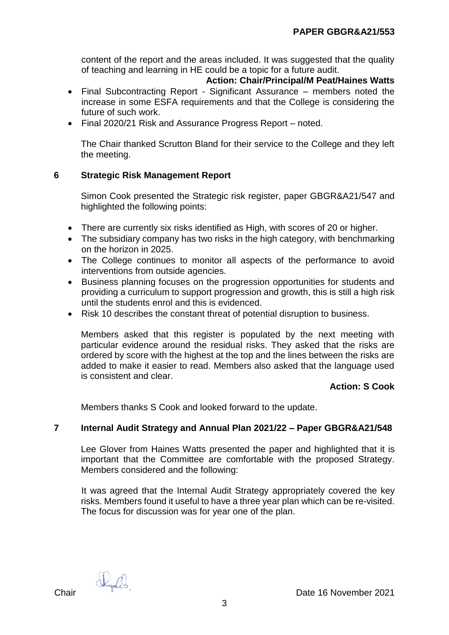content of the report and the areas included. It was suggested that the quality of teaching and learning in HE could be a topic for a future audit.

### **Action: Chair/Principal/M Peat/Haines Watts**

- Final Subcontracting Report Significant Assurance members noted the increase in some ESFA requirements and that the College is considering the future of such work.
- Final 2020/21 Risk and Assurance Progress Report noted.

The Chair thanked Scrutton Bland for their service to the College and they left the meeting.

### **6 Strategic Risk Management Report**

Simon Cook presented the Strategic risk register, paper GBGR&A21/547 and highlighted the following points:

- There are currently six risks identified as High, with scores of 20 or higher.
- The subsidiary company has two risks in the high category, with benchmarking on the horizon in 2025.
- The College continues to monitor all aspects of the performance to avoid interventions from outside agencies.
- Business planning focuses on the progression opportunities for students and providing a curriculum to support progression and growth, this is still a high risk until the students enrol and this is evidenced.
- Risk 10 describes the constant threat of potential disruption to business.

Members asked that this register is populated by the next meeting with particular evidence around the residual risks. They asked that the risks are ordered by score with the highest at the top and the lines between the risks are added to make it easier to read. Members also asked that the language used is consistent and clear.

### **Action: S Cook**

Members thanks S Cook and looked forward to the update.

### **7 Internal Audit Strategy and Annual Plan 2021/22 – Paper GBGR&A21/548**

Lee Glover from Haines Watts presented the paper and highlighted that it is important that the Committee are comfortable with the proposed Strategy. Members considered and the following:

It was agreed that the Internal Audit Strategy appropriately covered the key risks. Members found it useful to have a three year plan which can be re-visited. The focus for discussion was for year one of the plan.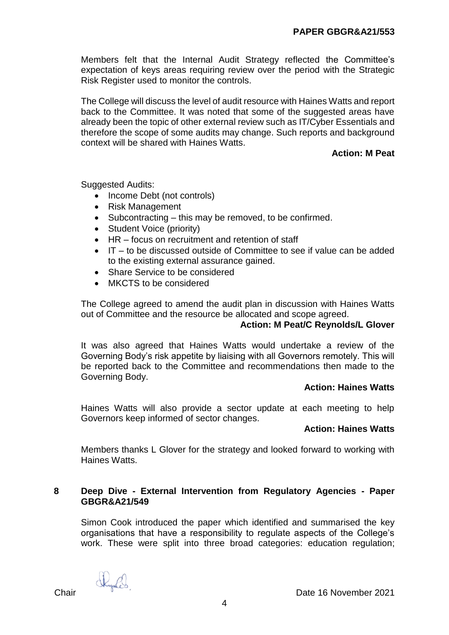Members felt that the Internal Audit Strategy reflected the Committee's expectation of keys areas requiring review over the period with the Strategic Risk Register used to monitor the controls.

The College will discuss the level of audit resource with Haines Watts and report back to the Committee. It was noted that some of the suggested areas have already been the topic of other external review such as IT/Cyber Essentials and therefore the scope of some audits may change. Such reports and background context will be shared with Haines Watts.

## **Action: M Peat**

Suggested Audits:

- Income Debt (not controls)
- Risk Management
- $\bullet$  Subcontracting this may be removed, to be confirmed.
- Student Voice (priority)
- HR focus on recruitment and retention of staff
- $\bullet$  IT to be discussed outside of Committee to see if value can be added to the existing external assurance gained.
- Share Service to be considered
- MKCTS to be considered

The College agreed to amend the audit plan in discussion with Haines Watts out of Committee and the resource be allocated and scope agreed.

### **Action: M Peat/C Reynolds/L Glover**

It was also agreed that Haines Watts would undertake a review of the Governing Body's risk appetite by liaising with all Governors remotely. This will be reported back to the Committee and recommendations then made to the Governing Body.

### **Action: Haines Watts**

Haines Watts will also provide a sector update at each meeting to help Governors keep informed of sector changes.

### **Action: Haines Watts**

Members thanks L Glover for the strategy and looked forward to working with Haines Watts.

## **8 Deep Dive - External Intervention from Regulatory Agencies - Paper GBGR&A21/549**

Simon Cook introduced the paper which identified and summarised the key organisations that have a responsibility to regulate aspects of the College's work. These were split into three broad categories: education regulation: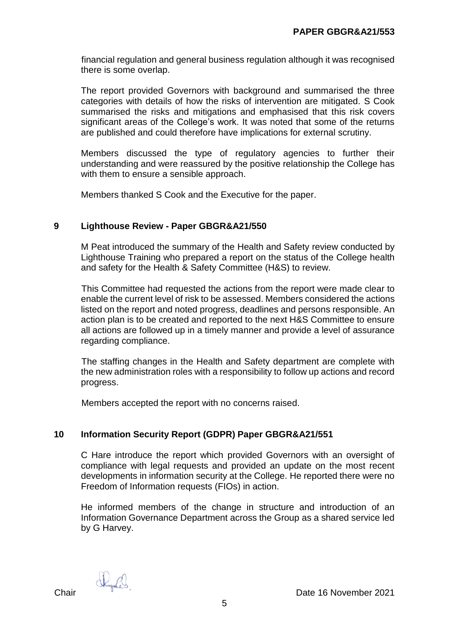financial regulation and general business regulation although it was recognised there is some overlap.

The report provided Governors with background and summarised the three categories with details of how the risks of intervention are mitigated. S Cook summarised the risks and mitigations and emphasised that this risk covers significant areas of the College's work. It was noted that some of the returns are published and could therefore have implications for external scrutiny.

Members discussed the type of regulatory agencies to further their understanding and were reassured by the positive relationship the College has with them to ensure a sensible approach.

Members thanked S Cook and the Executive for the paper.

## **9 Lighthouse Review - Paper GBGR&A21/550**

M Peat introduced the summary of the Health and Safety review conducted by Lighthouse Training who prepared a report on the status of the College health and safety for the Health & Safety Committee (H&S) to review.

This Committee had requested the actions from the report were made clear to enable the current level of risk to be assessed. Members considered the actions listed on the report and noted progress, deadlines and persons responsible. An action plan is to be created and reported to the next H&S Committee to ensure all actions are followed up in a timely manner and provide a level of assurance regarding compliance.

The staffing changes in the Health and Safety department are complete with the new administration roles with a responsibility to follow up actions and record progress.

Members accepted the report with no concerns raised.

### **10 Information Security Report (GDPR) Paper GBGR&A21/551**

C Hare introduce the report which provided Governors with an oversight of compliance with legal requests and provided an update on the most recent developments in information security at the College. He reported there were no Freedom of Information requests (FIOs) in action.

He informed members of the change in structure and introduction of an Information Governance Department across the Group as a shared service led by G Harvey.